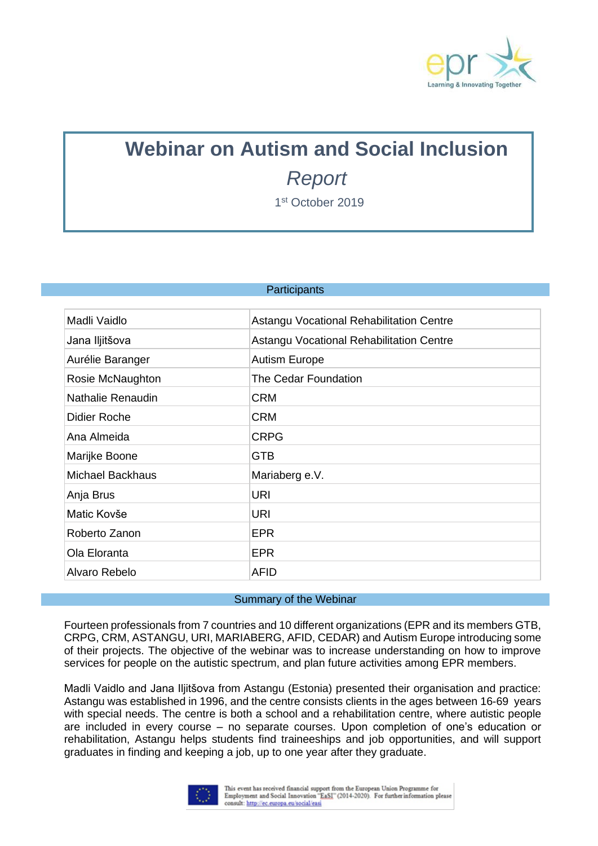

## **Webinar on Autism and Social Inclusion** *Report*

1 st October 2019

## **Participants**

| Madli Vaidlo            | Astangu Vocational Rehabilitation Centre |
|-------------------------|------------------------------------------|
| Jana Iljitšova          | Astangu Vocational Rehabilitation Centre |
| Aurélie Baranger        | <b>Autism Europe</b>                     |
| Rosie McNaughton        | The Cedar Foundation                     |
| Nathalie Renaudin       | <b>CRM</b>                               |
| Didier Roche            | <b>CRM</b>                               |
| Ana Almeida             | <b>CRPG</b>                              |
| Marijke Boone           | <b>GTB</b>                               |
| <b>Michael Backhaus</b> | Mariaberg e.V.                           |
| Anja Brus               | <b>URI</b>                               |
| Matic Kovše             | URI                                      |
| Roberto Zanon           | <b>EPR</b>                               |
| Ola Eloranta            | <b>EPR</b>                               |
| Alvaro Rebelo           | AFID                                     |

## Summary of the Webinar

Fourteen professionals from 7 countries and 10 different organizations (EPR and its members GTB, CRPG, CRM, ASTANGU, URI, MARIABERG, AFID, CEDAR) and Autism Europe introducing some of their projects. The objective of the webinar was to increase understanding on how to improve services for people on the autistic spectrum, and plan future activities among EPR members.

Madli Vaidlo and Jana Iljitšova from Astangu (Estonia) presented their organisation and practice: Astangu was established in 1996, and the centre consists clients in the ages between 16-69 years with special needs. The centre is both a school and a rehabilitation centre, where autistic people are included in every course – no separate courses. Upon completion of one's education or rehabilitation, Astangu helps students find traineeships and job opportunities, and will support graduates in finding and keeping a job, up to one year after they graduate.

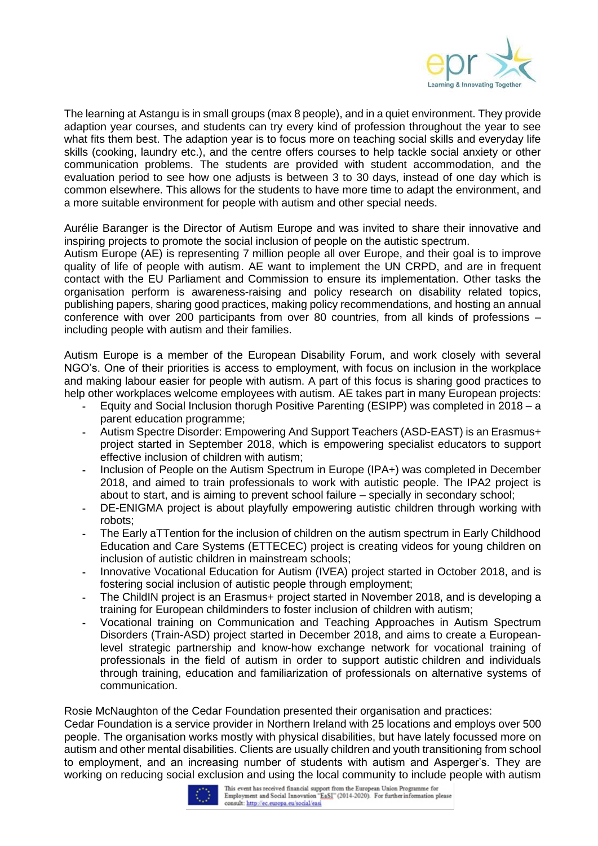

The learning at Astangu is in small groups (max 8 people), and in a quiet environment. They provide adaption year courses, and students can try every kind of profession throughout the year to see what fits them best. The adaption year is to focus more on teaching social skills and everyday life skills (cooking, laundry etc.), and the centre offers courses to help tackle social anxiety or other communication problems. The students are provided with student accommodation, and the evaluation period to see how one adjusts is between 3 to 30 days, instead of one day which is common elsewhere. This allows for the students to have more time to adapt the environment, and a more suitable environment for people with autism and other special needs.

Aurélie Baranger is the Director of Autism Europe and was invited to share their innovative and inspiring projects to promote the social inclusion of people on the autistic spectrum.

Autism Europe (AE) is representing 7 million people all over Europe, and their goal is to improve quality of life of people with autism. AE want to implement the UN CRPD, and are in frequent contact with the EU Parliament and Commission to ensure its implementation. Other tasks the organisation perform is awareness-raising and policy research on disability related topics, publishing papers, sharing good practices, making policy recommendations, and hosting an annual conference with over 200 participants from over 80 countries, from all kinds of professions – including people with autism and their families.

Autism Europe is a member of the European Disability Forum, and work closely with several NGO's. One of their priorities is access to employment, with focus on inclusion in the workplace and making labour easier for people with autism. A part of this focus is sharing good practices to help other workplaces welcome employees with autism. AE takes part in many European projects:

- Equity and Social Inclusion thorugh Positive Parenting (ESIPP) was completed in 2018 a parent education programme;
- Autism Spectre Disorder: Empowering And Support Teachers (ASD-EAST) is an Erasmus+ project started in September 2018, which is empowering specialist educators to support effective inclusion of children with autism;
- Inclusion of People on the Autism Spectrum in Europe (IPA+) was completed in December 2018, and aimed to train professionals to work with autistic people. The IPA2 project is about to start, and is aiming to prevent school failure – specially in secondary school;
- DE-ENIGMA project is about playfully empowering autistic children through working with robots;
- The Early aTTention for the inclusion of children on the autism spectrum in Early Childhood Education and Care Systems (ETTECEC) project is creating videos for young children on inclusion of autistic children in mainstream schools;
- Innovative Vocational Education for Autism (IVEA) project started in October 2018, and is fostering social inclusion of autistic people through employment;
- The ChildIN project is an Erasmus+ project started in November 2018, and is developing a training for European childminders to foster inclusion of children with autism;
- Vocational training on Communication and Teaching Approaches in Autism Spectrum Disorders (Train-ASD) project started in December 2018, and aims to create a Europeanlevel strategic partnership and know-how exchange network for vocational training of professionals in the field of autism in order to support autistic children and individuals through training, education and familiarization of professionals on alternative systems of communication.

Rosie McNaughton of the Cedar Foundation presented their organisation and practices:

Cedar Foundation is a service provider in Northern Ireland with 25 locations and employs over 500 people. The organisation works mostly with physical disabilities, but have lately focussed more on autism and other mental disabilities. Clients are usually children and youth transitioning from school to employment, and an increasing number of students with autism and Asperger's. They are working on reducing social exclusion and using the local community to include people with autism<br>  $\begin{array}{|c|c|c|c|}\hline \vdots & \bullet & \text{This event has received financial support from the European Union Program for}\\ \hline \vdots & \bullet & \text{Employee and Social Innovation "EaST" (2014-2020). For further information please}\hline \end{array}$ 

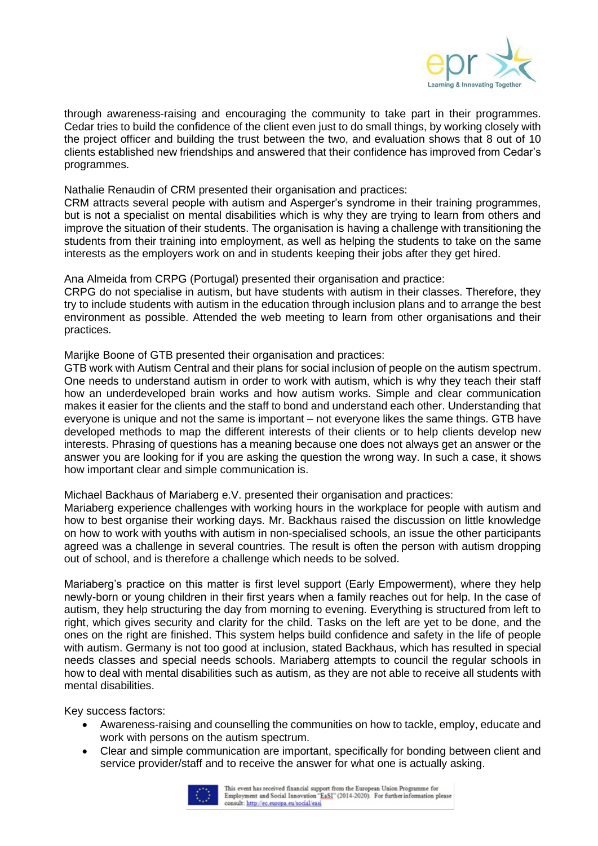

through awareness-raising and encouraging the community to take part in their programmes. Cedar tries to build the confidence of the client even just to do small things, by working closely with the project officer and building the trust between the two, and evaluation shows that 8 out of 10 clients established new friendships and answered that their confidence has improved from Cedar's programmes.

Nathalie Renaudin of CRM presented their organisation and practices:

CRM attracts several people with autism and Asperger's syndrome in their training programmes, but is not a specialist on mental disabilities which is why they are trying to learn from others and improve the situation of their students. The organisation is having a challenge with transitioning the students from their training into employment, as well as helping the students to take on the same interests as the employers work on and in students keeping their jobs after they get hired.

Ana Almeida from CRPG (Portugal) presented their organisation and practice:

CRPG do not specialise in autism, but have students with autism in their classes. Therefore, they try to include students with autism in the education through inclusion plans and to arrange the best environment as possible. Attended the web meeting to learn from other organisations and their practices.

Marijke Boone of GTB presented their organisation and practices:

GTB work with Autism Central and their plans for social inclusion of people on the autism spectrum. One needs to understand autism in order to work with autism, which is why they teach their staff how an underdeveloped brain works and how autism works. Simple and clear communication makes it easier for the clients and the staff to bond and understand each other. Understanding that everyone is unique and not the same is important – not everyone likes the same things. GTB have developed methods to map the different interests of their clients or to help clients develop new interests. Phrasing of questions has a meaning because one does not always get an answer or the answer you are looking for if you are asking the question the wrong way. In such a case, it shows how important clear and simple communication is.

Michael Backhaus of Mariaberg e.V. presented their organisation and practices:

Mariaberg experience challenges with working hours in the workplace for people with autism and how to best organise their working days. Mr. Backhaus raised the discussion on little knowledge on how to work with youths with autism in non-specialised schools, an issue the other participants agreed was a challenge in several countries. The result is often the person with autism dropping out of school, and is therefore a challenge which needs to be solved.

Mariaberg's practice on this matter is first level support (Early Empowerment), where they help newly-born or young children in their first years when a family reaches out for help. In the case of autism, they help structuring the day from morning to evening. Everything is structured from left to right, which gives security and clarity for the child. Tasks on the left are yet to be done, and the ones on the right are finished. This system helps build confidence and safety in the life of people with autism. Germany is not too good at inclusion, stated Backhaus, which has resulted in special needs classes and special needs schools. Mariaberg attempts to council the regular schools in how to deal with mental disabilities such as autism, as they are not able to receive all students with mental disabilities.

Key success factors:

- Awareness-raising and counselling the communities on how to tackle, employ, educate and work with persons on the autism spectrum.
- Clear and simple communication are important, specifically for bonding between client and service provider/staff and to receive the answer for what one is actually asking.